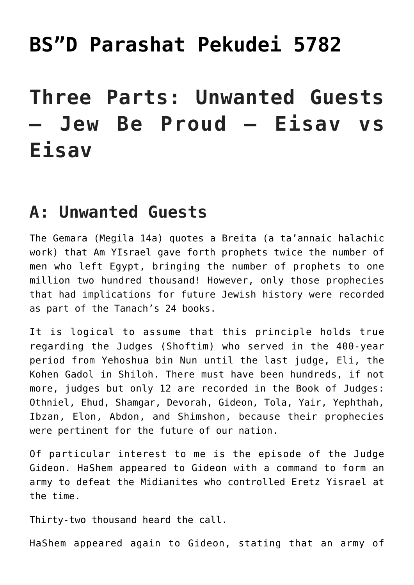## **[BS"D Parashat Pekudei 5782](https://nachmankahana.com/bsd-parashat-pekudei-5782/)**

# **Three Parts: Unwanted Guests – Jew Be Proud – Eisav vs Eisav**

### **A: Unwanted Guests**

The Gemara (Megila 14a) quotes a Breita (a ta'annaic halachic work) that Am YIsrael gave forth prophets twice the number of men who left Egypt, bringing the number of prophets to one million two hundred thousand! However, only those prophecies that had implications for future Jewish history were recorded as part of the Tanach's 24 books.

It is logical to assume that this principle holds true regarding the Judges (Shoftim) who served in the 400-year period from Yehoshua bin Nun until the last judge, Eli, the Kohen Gadol in Shiloh. There must have been hundreds, if not more, judges but only 12 are recorded in the Book of Judges: Othniel, Ehud, Shamgar, Devorah, Gideon, Tola, Yair, Yephthah, Ibzan, Elon, Abdon, and Shimshon, because their prophecies were pertinent for the future of our nation.

Of particular interest to me is the episode of the Judge Gideon. HaShem appeared to Gideon with a command to form an army to defeat the Midianites who controlled Eretz Yisrael at the time.

Thirty-two thousand heard the call.

HaShem appeared again to Gideon, stating that an army of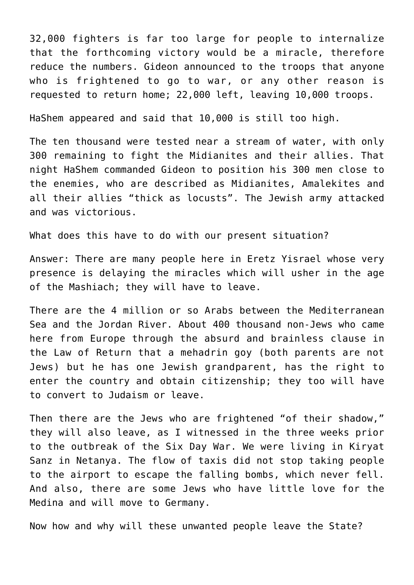32,000 fighters is far too large for people to internalize that the forthcoming victory would be a miracle, therefore reduce the numbers. Gideon announced to the troops that anyone who is frightened to go to war, or any other reason is requested to return home; 22,000 left, leaving 10,000 troops.

HaShem appeared and said that 10,000 is still too high.

The ten thousand were tested near a stream of water, with only 300 remaining to fight the Midianites and their allies. That night HaShem commanded Gideon to position his 300 men close to the enemies, who are described as Midianites, Amalekites and all their allies "thick as locusts". The Jewish army attacked and was victorious.

What does this have to do with our present situation?

Answer: There are many people here in Eretz Yisrael whose very presence is delaying the miracles which will usher in the age of the Mashiach; they will have to leave.

There are the 4 million or so Arabs between the Mediterranean Sea and the Jordan River. About 400 thousand non-Jews who came here from Europe through the absurd and brainless clause in the Law of Return that a mehadrin goy (both parents are not Jews) but he has one Jewish grandparent, has the right to enter the country and obtain citizenship; they too will have to convert to Judaism or leave.

Then there are the Jews who are frightened "of their shadow," they will also leave, as I witnessed in the three weeks prior to the outbreak of the Six Day War. We were living in Kiryat Sanz in Netanya. The flow of taxis did not stop taking people to the airport to escape the falling bombs, which never fell. And also, there are some Jews who have little love for the Medina and will move to Germany.

Now how and why will these unwanted people leave the State?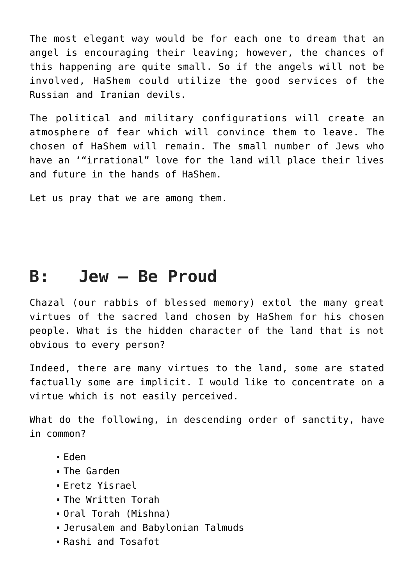The most elegant way would be for each one to dream that an angel is encouraging their leaving; however, the chances of this happening are quite small. So if the angels will not be involved, HaShem could utilize the good services of the Russian and Iranian devils.

The political and military configurations will create an atmosphere of fear which will convince them to leave. The chosen of HaShem will remain. The small number of Jews who have an '"irrational" love for the land will place their lives and future in the hands of HaShem.

Let us pray that we are among them.

#### **B: Jew – Be Proud**

Chazal (our rabbis of blessed memory) extol the many great virtues of the sacred land chosen by HaShem for his chosen people. What is the hidden character of the land that is not obvious to every person?

Indeed, there are many virtues to the land, some are stated factually some are implicit. I would like to concentrate on a virtue which is not easily perceived.

What do the following, in descending order of sanctity, have in common?

- Eden
- The Garden
- Eretz Yisrael
- The Written Torah
- Oral Torah (Mishna)
- Jerusalem and Babylonian Talmuds
- Rashi and Tosafot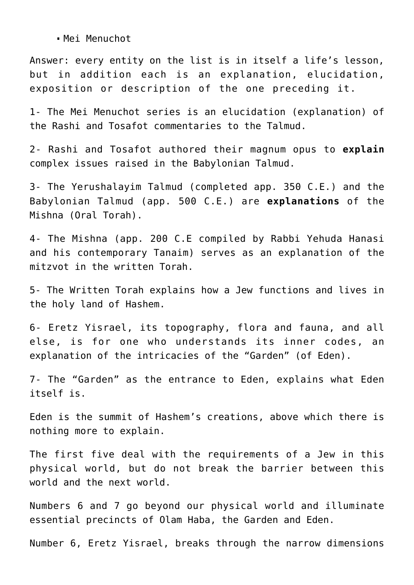Mei Menuchot

Answer: every entity on the list is in itself a life's lesson, but in addition each is an explanation, elucidation, exposition or description of the one preceding it.

1- The Mei Menuchot series is an elucidation (explanation) of the Rashi and Tosafot commentaries to the Talmud.

2- Rashi and Tosafot authored their magnum opus to **explain** complex issues raised in the Babylonian Talmud.

3- The Yerushalayim Talmud (completed app. 350 C.E.) and the Babylonian Talmud (app. 500 C.E.) are **explanations** of the Mishna (Oral Torah).

4- The Mishna (app. 200 C.E compiled by Rabbi Yehuda Hanasi and his contemporary Tanaim) serves as an explanation of the mitzvot in the written Torah.

5- The Written Torah explains how a Jew functions and lives in the holy land of Hashem.

6- Eretz Yisrael, its topography, flora and fauna, and all else, is for one who understands its inner codes, an explanation of the intricacies of the "Garden" (of Eden).

7- The "Garden" as the entrance to Eden, explains what Eden itself is.

Eden is the summit of Hashem's creations, above which there is nothing more to explain.

The first five deal with the requirements of a Jew in this physical world, but do not break the barrier between this world and the next world.

Numbers 6 and 7 go beyond our physical world and illuminate essential precincts of Olam Haba, the Garden and Eden.

Number 6, Eretz Yisrael, breaks through the narrow dimensions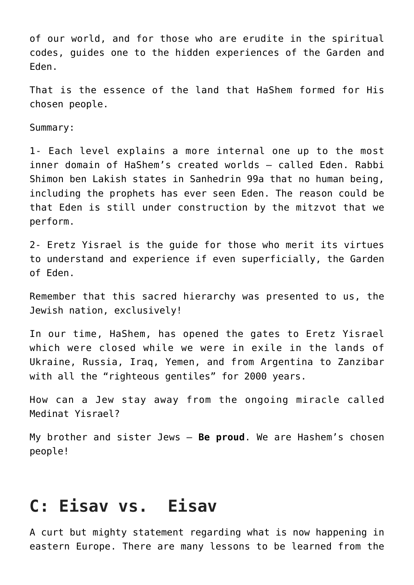of our world, and for those who are erudite in the spiritual codes, guides one to the hidden experiences of the Garden and Eden.

That is the essence of the land that HaShem formed for His chosen people.

Summary:

1- Each level explains a more internal one up to the most inner domain of HaShem's created worlds – called Eden. Rabbi Shimon ben Lakish states in Sanhedrin 99a that no human being, including the prophets has ever seen Eden. The reason could be that Eden is still under construction by the mitzvot that we perform.

2- Eretz Yisrael is the guide for those who merit its virtues to understand and experience if even superficially, the Garden of Eden.

Remember that this sacred hierarchy was presented to us, the Jewish nation, exclusively!

In our time, HaShem, has opened the gates to Eretz Yisrael which were closed while we were in exile in the lands of Ukraine, Russia, Iraq, Yemen, and from Argentina to Zanzibar with all the "righteous gentiles" for 2000 years.

How can a Jew stay away from the ongoing miracle called Medinat Yisrael?

My brother and sister Jews – **Be proud**. We are Hashem's chosen people!

#### **C: Eisav vs. Eisav**

A curt but mighty statement regarding what is now happening in eastern Europe. There are many lessons to be learned from the